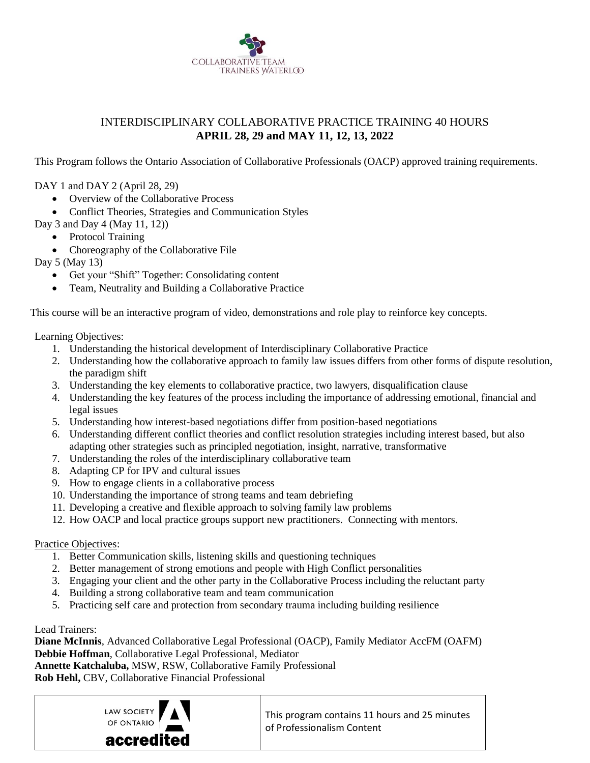

## INTERDISCIPLINARY COLLABORATIVE PRACTICE TRAINING 40 HOURS **APRIL 28, 29 and MAY 11, 12, 13, 2022**

This Program follows the Ontario Association of Collaborative Professionals (OACP) approved training requirements.

DAY 1 and DAY 2 (April 28, 29)

- Overview of the Collaborative Process
- Conflict Theories, Strategies and Communication Styles
- Day 3 and Day 4 (May 11, 12))
	- Protocol Training
	- Choreography of the Collaborative File

Day 5 (May 13)

- Get your "Shift" Together: Consolidating content
- Team, Neutrality and Building a Collaborative Practice

This course will be an interactive program of video, demonstrations and role play to reinforce key concepts.

Learning Objectives:

- 1. Understanding the historical development of Interdisciplinary Collaborative Practice
- 2. Understanding how the collaborative approach to family law issues differs from other forms of dispute resolution, the paradigm shift
- 3. Understanding the key elements to collaborative practice, two lawyers, disqualification clause
- 4. Understanding the key features of the process including the importance of addressing emotional, financial and legal issues
- 5. Understanding how interest-based negotiations differ from position-based negotiations
- 6. Understanding different conflict theories and conflict resolution strategies including interest based, but also adapting other strategies such as principled negotiation, insight, narrative, transformative
- 7. Understanding the roles of the interdisciplinary collaborative team
- 8. Adapting CP for IPV and cultural issues
- 9. How to engage clients in a collaborative process
- 10. Understanding the importance of strong teams and team debriefing
- 11. Developing a creative and flexible approach to solving family law problems
- 12. How OACP and local practice groups support new practitioners. Connecting with mentors.

## Practice Objectives:

- 1. Better Communication skills, listening skills and questioning techniques
- 2. Better management of strong emotions and people with High Conflict personalities
- 3. Engaging your client and the other party in the Collaborative Process including the reluctant party
- 4. Building a strong collaborative team and team communication
- 5. Practicing self care and protection from secondary trauma including building resilience

## Lead Trainers:

**Diane McInnis**, Advanced Collaborative Legal Professional (OACP), Family Mediator AccFM (OAFM) **Debbie Hoffman**, Collaborative Legal Professional, Mediator **Annette Katchaluba,** MSW, RSW, Collaborative Family Professional

**Rob Hehl,** CBV, Collaborative Financial Professional



This program contains 11 hours and 25 minutes of Professionalism Content